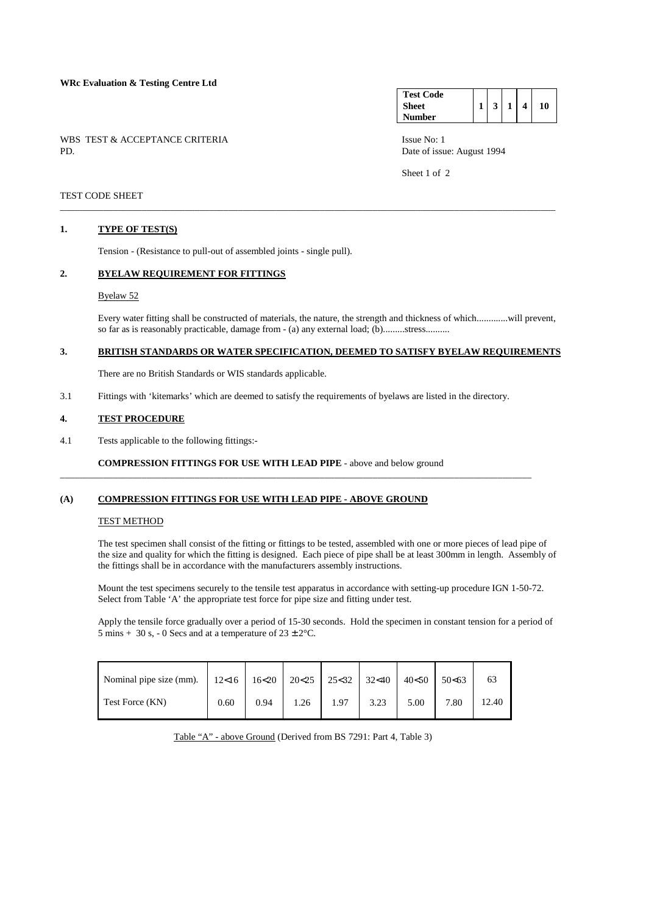### **WRc Evaluation & Testing Centre Ltd**

WBS TEST & ACCEPTANCE CRITERIA Issue No: 1<br>PD Date of issue

**Test Code Sheet Number 1 3 1 4 10** 

Date of issue: August 1994

Sheet 1 of 2

## TEST CODE SHEET

#### **1. TYPE OF TEST(S)**

Tension - (Resistance to pull-out of assembled joints - single pull).

#### **2. BYELAW REQUIREMENT FOR FITTINGS**

#### Byelaw 52

 Every water fitting shall be constructed of materials, the nature, the strength and thickness of which.............will prevent, so far as is reasonably practicable, damage from - (a) any external load; (b).........stress..........

## **3. BRITISH STANDARDS OR WATER SPECIFICATION, DEEMED TO SATISFY BYELAW REQUIREMENTS**

\_\_\_\_\_\_\_\_\_\_\_\_\_\_\_\_\_\_\_\_\_\_\_\_\_\_\_\_\_\_\_\_\_\_\_\_\_\_\_\_\_\_\_\_\_\_\_\_\_\_\_\_\_\_\_\_\_\_\_\_\_\_\_\_\_\_\_\_\_\_\_\_\_\_\_\_\_\_\_\_\_\_\_\_\_\_\_\_\_\_\_\_\_\_\_\_\_\_\_\_\_\_\_

There are no British Standards or WIS standards applicable.

3.1 Fittings with 'kitemarks' which are deemed to satisfy the requirements of byelaws are listed in the directory.

\_\_\_\_\_\_\_\_\_\_\_\_\_\_\_\_\_\_\_\_\_\_\_\_\_\_\_\_\_\_\_\_\_\_\_\_\_\_\_\_\_\_\_\_\_\_\_\_\_\_\_\_\_\_\_\_\_\_\_\_\_\_\_\_\_\_\_\_\_\_\_\_\_\_\_\_\_\_\_\_\_\_\_\_\_\_\_\_\_\_\_\_\_\_\_\_\_\_

### **4. TEST PROCEDURE**

4.1 Tests applicable to the following fittings:-

 **COMPRESSION FITTINGS FOR USE WITH LEAD PIPE** - above and below ground

#### **(A) COMPRESSION FITTINGS FOR USE WITH LEAD PIPE - ABOVE GROUND**

## TEST METHOD

 The test specimen shall consist of the fitting or fittings to be tested, assembled with one or more pieces of lead pipe of the size and quality for which the fitting is designed. Each piece of pipe shall be at least 300mm in length. Assembly of the fittings shall be in accordance with the manufacturers assembly instructions.

 Mount the test specimens securely to the tensile test apparatus in accordance with setting-up procedure IGN 1-50-72. Select from Table 'A' the appropriate test force for pipe size and fitting under test.

 Apply the tensile force gradually over a period of 15-30 seconds. Hold the specimen in constant tension for a period of 5 mins + 30 s, - 0 Secs and at a temperature of  $23 \pm 2^{\circ}$ C.

| Nominal pipe size (mm). | 12<16 | 16<20 | 20<25 | $25<32$ | 32<40 | 40<50 | 50<63 |       |
|-------------------------|-------|-------|-------|---------|-------|-------|-------|-------|
| Test Force (KN)         | 0.60  | 0.94  | 1.26  | 1.97    | 3.23  | 5.00  | 7.80  | 12.40 |

Table "A" - above Ground (Derived from BS 7291: Part 4, Table 3)